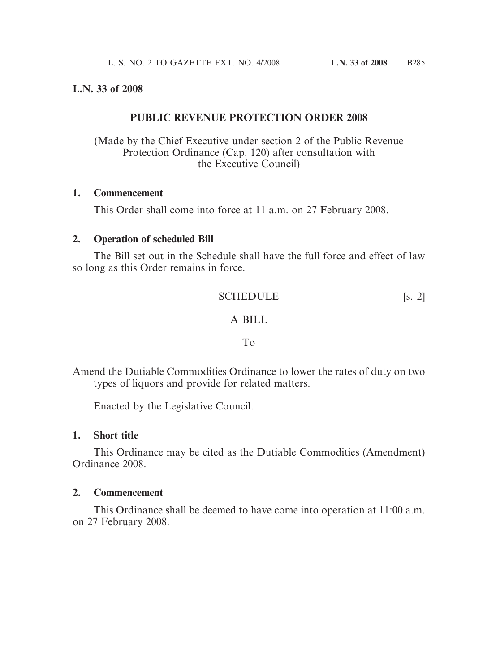### **L.N. 33 of 2008**

### **PUBLIC REVENUE PROTECTION ORDER 2008**

(Made by the Chief Executive under section 2 of the Public Revenue Protection Ordinance (Cap. 120) after consultation with the Executive Council)

#### **1. Commencement**

This Order shall come into force at 11 a.m. on 27 February 2008.

#### **2. Operation of scheduled Bill**

The Bill set out in the Schedule shall have the full force and effect of law so long as this Order remains in force.

SCHEDULE [s. 2]

#### A BILL

#### To

Amend the Dutiable Commodities Ordinance to lower the rates of duty on two types of liquors and provide for related matters.

Enacted by the Legislative Council.

#### **1. Short title**

This Ordinance may be cited as the Dutiable Commodities (Amendment) Ordinance 2008.

#### **2. Commencement**

This Ordinance shall be deemed to have come into operation at 11:00 a.m. on 27 February 2008.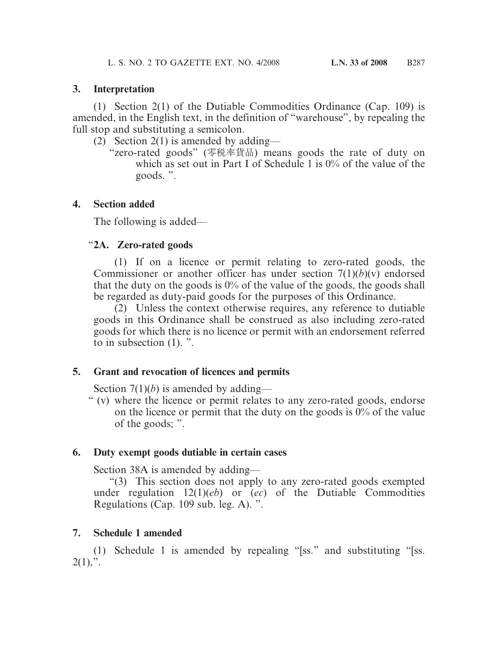(1) Section 2(1) of the Dutiable Commodities Ordinance (Cap. 109) is amended, in the English text, in the definition of "warehouse", by repealing the full stop and substituting a semicolon.

- (2) Section 2(1) is amended by adding—
	- "zero-rated goods" (零稅率貨品) means goods the rate of duty on which as set out in Part I of Schedule 1 is 0% of the value of the goods. ".

# **4. Section added**

The following is added—

# "**2A. Zero-rated goods**

(1) If on a licence or permit relating to zero-rated goods, the Commissioner or another officer has under section  $7(1)(b)(v)$  endorsed that the duty on the goods is  $0\%$  of the value of the goods, the goods shall be regarded as duty-paid goods for the purposes of this Ordinance.

(2) Unless the context otherwise requires, any reference to dutiable goods in this Ordinance shall be construed as also including zero-rated goods for which there is no licence or permit with an endorsement referred to in subsection (1). ".

# **5. Grant and revocation of licences and permits**

Section 7(1)(*b*) is amended by adding—

" (v) where the licence or permit relates to any zero-rated goods, endorse on the licence or permit that the duty on the goods is  $0\%$  of the value of the goods; ".

# **6. Duty exempt goods dutiable in certain cases**

Section 38A is amended by adding—

"(3) This section does not apply to any zero-rated goods exempted under regulation 12(1)(*eb*) or (*ec*) of the Dutiable Commodities Regulations (Cap. 109 sub. leg. A). ".

# **7. Schedule 1 amended**

(1) Schedule 1 is amended by repealing "[ss." and substituting "[ss.  $2(1),$ ".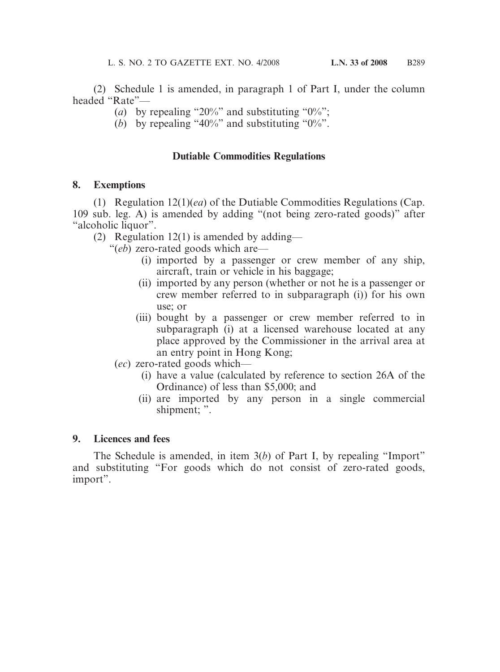(2) Schedule 1 is amended, in paragraph 1 of Part I, under the column headed "Rate"—

- (*a*) by repealing "20%" and substituting "0%";
- (*b*) by repealing "40%" and substituting "0%".

# **Dutiable Commodities Regulations**

### **8. Exemptions**

(1) Regulation 12(1)(*ea*) of the Dutiable Commodities Regulations (Cap. 109 sub. leg. A) is amended by adding "(not being zero-rated goods)" after "alcoholic liquor".

(2) Regulation  $12(1)$  is amended by adding—

"(*eb*) zero-rated goods which are—

- (i) imported by a passenger or crew member of any ship, aircraft, train or vehicle in his baggage;
- (ii) imported by any person (whether or not he is a passenger or crew member referred to in subparagraph (i)) for his own use; or
- (iii) bought by a passenger or crew member referred to in subparagraph (i) at a licensed warehouse located at any place approved by the Commissioner in the arrival area at an entry point in Hong Kong;
- (*ec*) zero-rated goods which—
	- (i) have a value (calculated by reference to section 26A of the Ordinance) of less than \$5,000; and
	- (ii) are imported by any person in a single commercial shipment; ".

# **9. Licences and fees**

The Schedule is amended, in item 3(*b*) of Part I, by repealing "Import" and substituting "For goods which do not consist of zero-rated goods, import".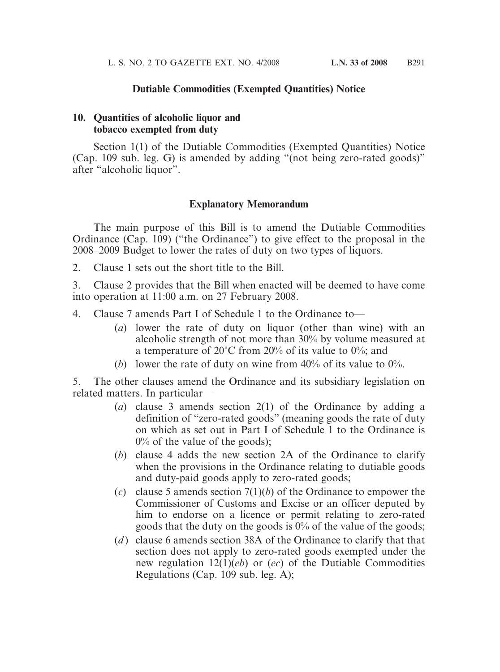### **Dutiable Commodities (Exempted Quantities) Notice**

### **10. Quantities of alcoholic liquor and tobacco exempted from duty**

Section 1(1) of the Dutiable Commodities (Exempted Quantities) Notice (Cap. 109 sub. leg. G) is amended by adding "(not being zero-rated goods)" after "alcoholic liquor".

### **Explanatory Memorandum**

The main purpose of this Bill is to amend the Dutiable Commodities Ordinance (Cap. 109) ("the Ordinance") to give effect to the proposal in the 2008–2009 Budget to lower the rates of duty on two types of liquors.

2. Clause 1 sets out the short title to the Bill.

3. Clause 2 provides that the Bill when enacted will be deemed to have come into operation at 11:00 a.m. on 27 February 2008.

- 4. Clause 7 amends Part I of Schedule 1 to the Ordinance to—
	- (*a*) lower the rate of duty on liquor (other than wine) with an alcoholic strength of not more than 30% by volume measured at a temperature of  $20^{\circ}$ C from  $20\%$  of its value to  $0\%$ ; and
	- (b) lower the rate of duty on wine from  $40\%$  of its value to  $0\%$ .

5. The other clauses amend the Ordinance and its subsidiary legislation on related matters. In particular—

- (*a*) clause 3 amends section 2(1) of the Ordinance by adding a definition of "zero-rated goods" (meaning goods the rate of duty on which as set out in Part I of Schedule 1 to the Ordinance is  $0\%$  of the value of the goods);
- (*b*) clause 4 adds the new section 2A of the Ordinance to clarify when the provisions in the Ordinance relating to dutiable goods and duty-paid goods apply to zero-rated goods;
- (*c*) clause 5 amends section 7(1)(*b*) of the Ordinance to empower the Commissioner of Customs and Excise or an officer deputed by him to endorse on a licence or permit relating to zero-rated goods that the duty on the goods is 0% of the value of the goods;
- (*d* ) clause 6 amends section 38A of the Ordinance to clarify that that section does not apply to zero-rated goods exempted under the new regulation 12(1)(*eb*) or (*ec*) of the Dutiable Commodities Regulations (Cap. 109 sub. leg. A);